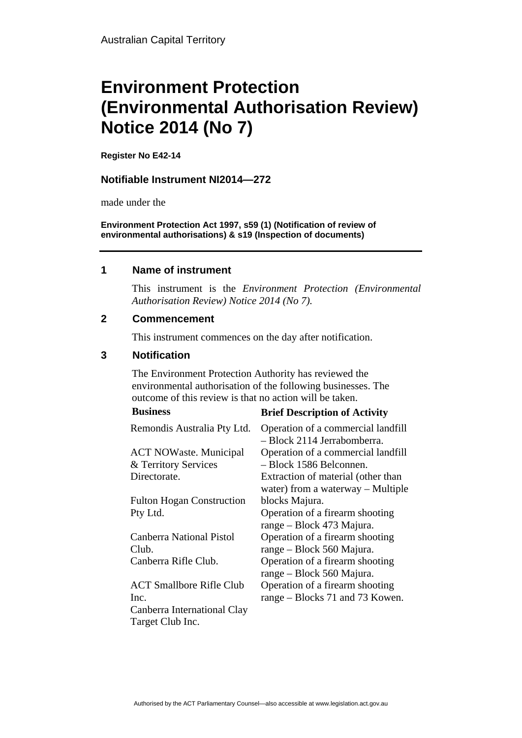# **Environment Protection (Environmental Authorisation Review) Notice 2014 (No 7)**

**Register No E42-14**

### **Notifiable Instrument NI2014—272**

made under the

**Environment Protection Act 1997, s59 (1) (Notification of review of environmental authorisations) & s19 (Inspection of documents)**

#### **1 Name of instrument**

This instrument is the *Environment Protection (Environmental Authorisation Review) Notice 2014 (No 7).* 

### **2 Commencement**

This instrument commences on the day after notification.

### **3 Notification**

The Environment Protection Authority has reviewed the environmental authorisation of the following businesses. The outcome of this review is that no action will be taken. **Business Brief Description of Activity** 

| business                         | <b>Brief Description of Activity</b>                              |
|----------------------------------|-------------------------------------------------------------------|
| Remondis Australia Pty Ltd.      | Operation of a commercial landfill<br>- Block 2114 Jerrabomberra. |
| <b>ACT NOWaste. Municipal</b>    | Operation of a commercial landfill                                |
| & Territory Services             | - Block 1586 Belconnen.                                           |
| Directorate.                     | Extraction of material (other than                                |
|                                  | water) from a waterway $-$ Multiple                               |
| <b>Fulton Hogan Construction</b> | blocks Majura.                                                    |
| Pty Ltd.                         | Operation of a firearm shooting                                   |
|                                  | range – Block 473 Majura.                                         |
| <b>Canberra National Pistol</b>  | Operation of a firearm shooting                                   |
| Club.                            | range – Block 560 Majura.                                         |
| Canberra Rifle Club.             | Operation of a firearm shooting                                   |
|                                  | range – Block 560 Majura.                                         |
| <b>ACT Smallbore Rifle Club</b>  | Operation of a firearm shooting                                   |
| Inc.                             | range – Blocks 71 and 73 Kowen.                                   |
| Canberra International Clay      |                                                                   |
| Target Club Inc.                 |                                                                   |